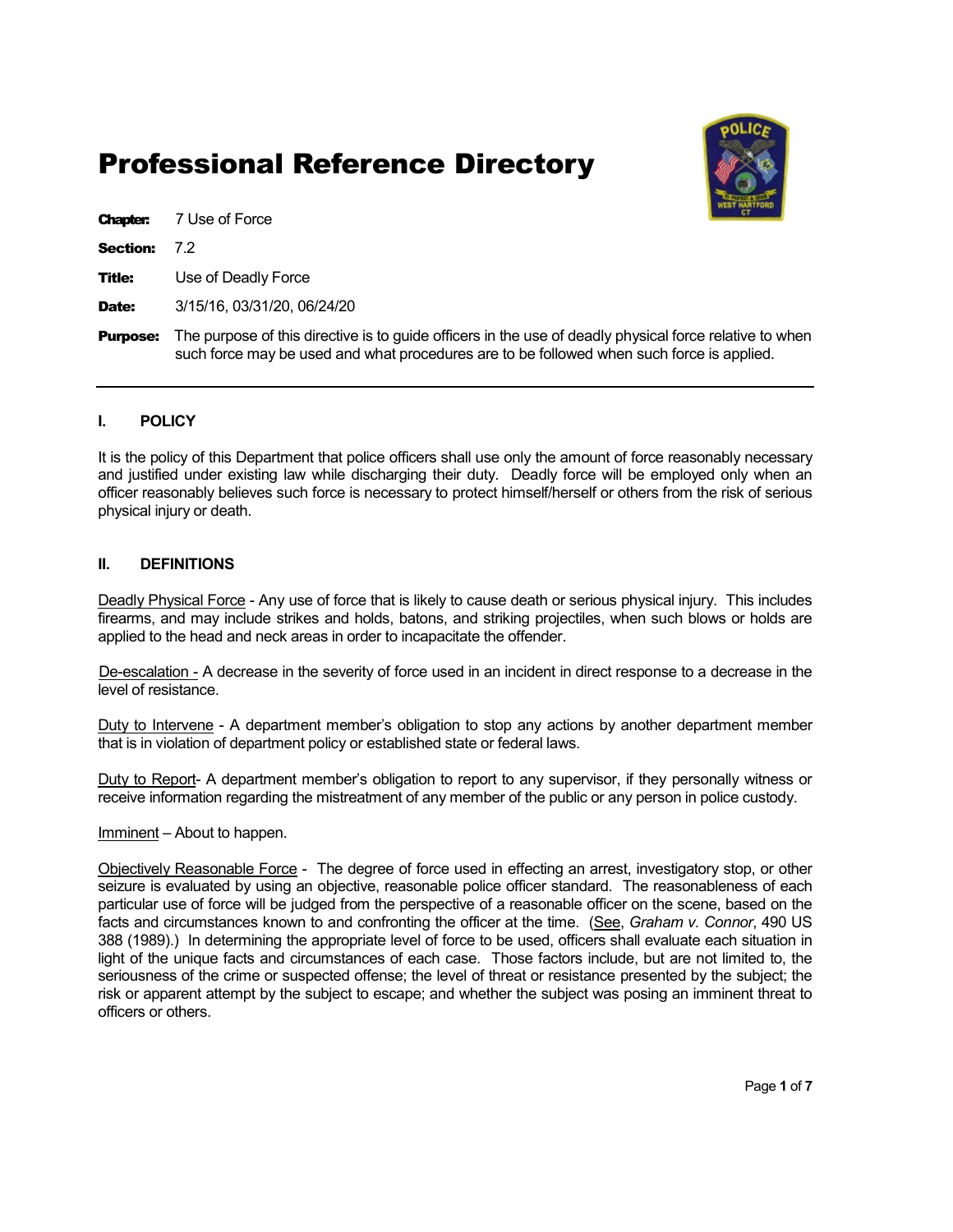# Professional Reference Directory



Chapter: 7 Use of Force

Section: 72

**Title:** Use of Deadly Force

Date: 3/15/16, 03/31/20, 06/24/20

**Purpose:** The purpose of this directive is to guide officers in the use of deadly physical force relative to when such force may be used and what procedures are to be followed when such force is applied.

## I. POLICY

It is the policy of this Department that police officers shall use only the amount of force reasonably necessary and justified under existing law while discharging their duty. Deadly force will be employed only when an officer reasonably believes such force is necessary to protect himself/herself or others from the risk of serious physical injury or death.

#### II. DEFINITIONS

Deadly Physical Force - Any use of force that is likely to cause death or serious physical injury. This includes firearms, and may include strikes and holds, batons, and striking projectiles, when such blows or holds are applied to the head and neck areas in order to incapacitate the offender.

 De-escalation - A decrease in the severity of force used in an incident in direct response to a decrease in the level of resistance.

Duty to Intervene - A department member's obligation to stop any actions by another department member that is in violation of department policy or established state or federal laws.

Duty to Report- A department member's obligation to report to any supervisor, if they personally witness or receive information regarding the mistreatment of any member of the public or any person in police custody.

#### Imminent – About to happen.

Objectively Reasonable Force - The degree of force used in effecting an arrest, investigatory stop, or other seizure is evaluated by using an objective, reasonable police officer standard. The reasonableness of each particular use of force will be judged from the perspective of a reasonable officer on the scene, based on the facts and circumstances known to and confronting the officer at the time. (See, Graham v. Connor, 490 US 388 (1989).) In determining the appropriate level of force to be used, officers shall evaluate each situation in light of the unique facts and circumstances of each case. Those factors include, but are not limited to, the seriousness of the crime or suspected offense; the level of threat or resistance presented by the subject; the risk or apparent attempt by the subject to escape; and whether the subject was posing an imminent threat to officers or others.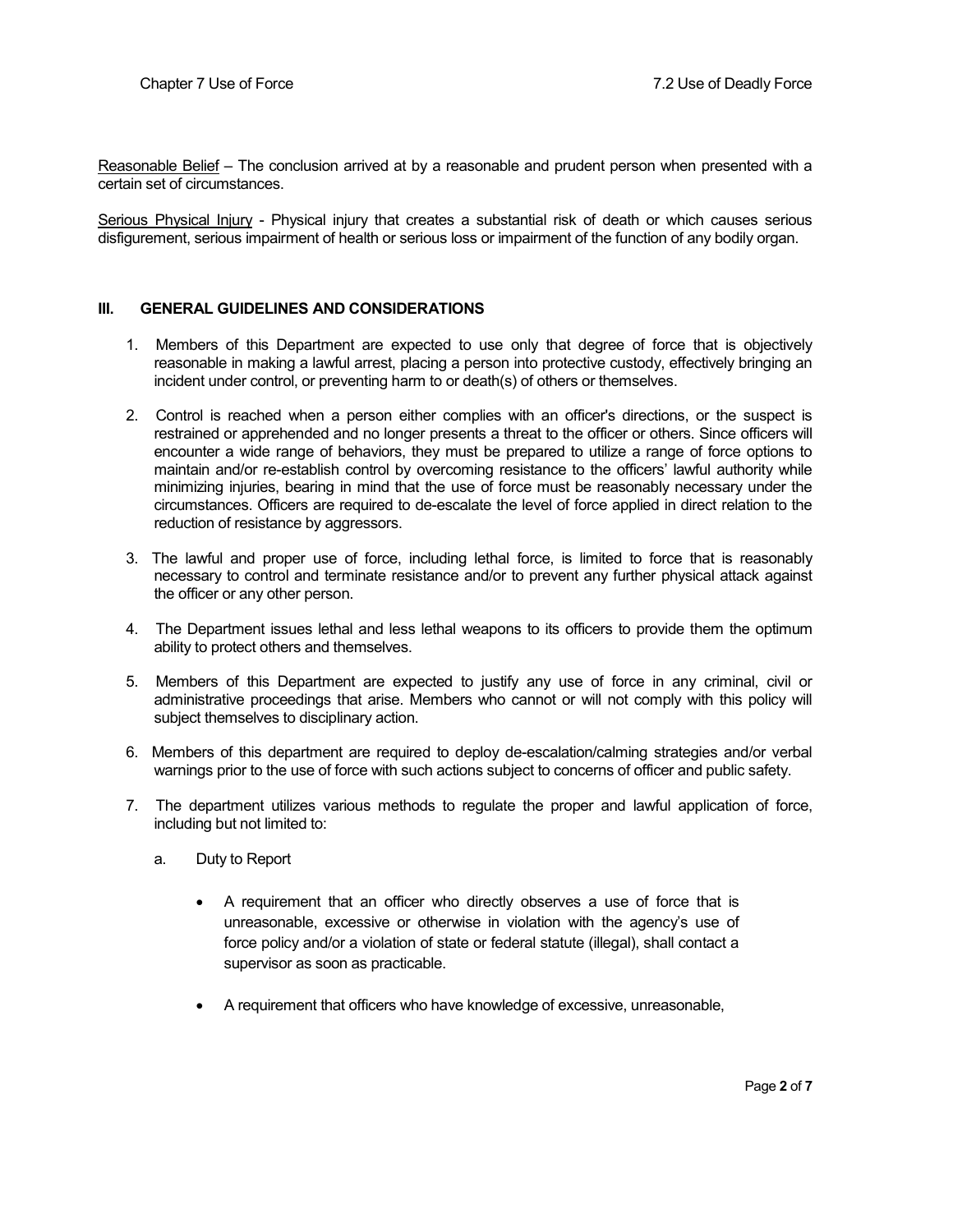Reasonable Belief – The conclusion arrived at by a reasonable and prudent person when presented with a certain set of circumstances.

Serious Physical Injury - Physical injury that creates a substantial risk of death or which causes serious disfigurement, serious impairment of health or serious loss or impairment of the function of any bodily organ.

#### III. GENERAL GUIDELINES AND CONSIDERATIONS

- 1. Members of this Department are expected to use only that degree of force that is objectively reasonable in making a lawful arrest, placing a person into protective custody, effectively bringing an incident under control, or preventing harm to or death(s) of others or themselves.
- 2. Control is reached when a person either complies with an officer's directions, or the suspect is restrained or apprehended and no longer presents a threat to the officer or others. Since officers will encounter a wide range of behaviors, they must be prepared to utilize a range of force options to maintain and/or re-establish control by overcoming resistance to the officers' lawful authority while minimizing injuries, bearing in mind that the use of force must be reasonably necessary under the circumstances. Officers are required to de-escalate the level of force applied in direct relation to the reduction of resistance by aggressors.
- 3. The lawful and proper use of force, including lethal force, is limited to force that is reasonably necessary to control and terminate resistance and/or to prevent any further physical attack against the officer or any other person.
- 4. The Department issues lethal and less lethal weapons to its officers to provide them the optimum ability to protect others and themselves.
- 5. Members of this Department are expected to justify any use of force in any criminal, civil or administrative proceedings that arise. Members who cannot or will not comply with this policy will subject themselves to disciplinary action.
- 6. Members of this department are required to deploy de-escalation/calming strategies and/or verbal warnings prior to the use of force with such actions subject to concerns of officer and public safety.
- 7. The department utilizes various methods to regulate the proper and lawful application of force, including but not limited to:
	- a. Duty to Report
		- A requirement that an officer who directly observes a use of force that is unreasonable, excessive or otherwise in violation with the agency's use of force policy and/or a violation of state or federal statute (illegal), shall contact a supervisor as soon as practicable.
		- A requirement that officers who have knowledge of excessive, unreasonable,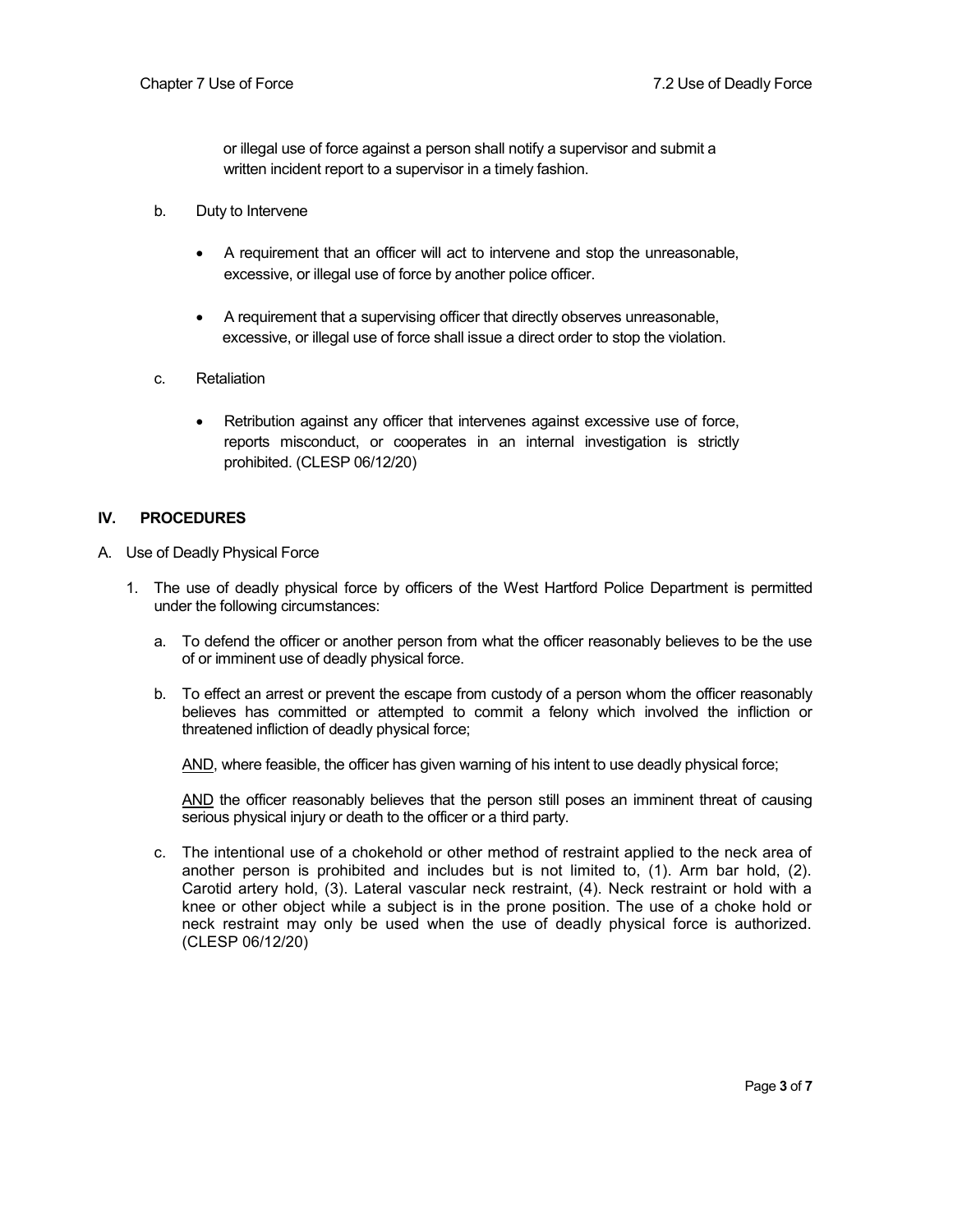or illegal use of force against a person shall notify a supervisor and submit a written incident report to a supervisor in a timely fashion.

- b. Duty to Intervene
	- A requirement that an officer will act to intervene and stop the unreasonable, excessive, or illegal use of force by another police officer.
	- A requirement that a supervising officer that directly observes unreasonable, excessive, or illegal use of force shall issue a direct order to stop the violation.
- c. Retaliation
	- Retribution against any officer that intervenes against excessive use of force, reports misconduct, or cooperates in an internal investigation is strictly prohibited. (CLESP 06/12/20)

#### IV. PROCEDURES

- A. Use of Deadly Physical Force
	- 1. The use of deadly physical force by officers of the West Hartford Police Department is permitted under the following circumstances:
		- a. To defend the officer or another person from what the officer reasonably believes to be the use of or imminent use of deadly physical force.
		- b. To effect an arrest or prevent the escape from custody of a person whom the officer reasonably believes has committed or attempted to commit a felony which involved the infliction or threatened infliction of deadly physical force;

AND, where feasible, the officer has given warning of his intent to use deadly physical force;

AND the officer reasonably believes that the person still poses an imminent threat of causing serious physical injury or death to the officer or a third party.

c. The intentional use of a chokehold or other method of restraint applied to the neck area of another person is prohibited and includes but is not limited to, (1). Arm bar hold, (2). Carotid artery hold, (3). Lateral vascular neck restraint, (4). Neck restraint or hold with a knee or other object while a subject is in the prone position. The use of a choke hold or neck restraint may only be used when the use of deadly physical force is authorized. (CLESP 06/12/20)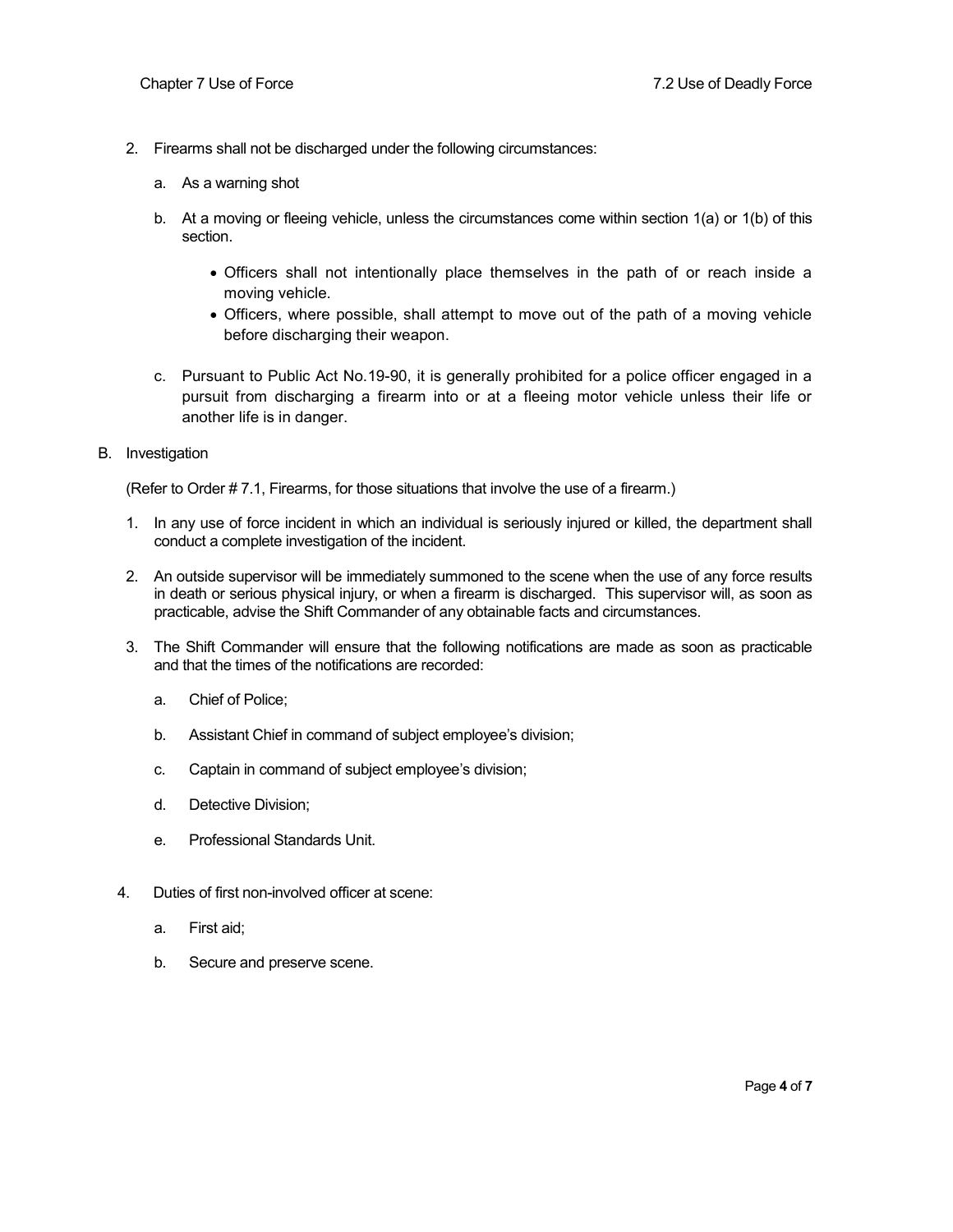- 2. Firearms shall not be discharged under the following circumstances:
	- a. As a warning shot
	- b. At a moving or fleeing vehicle, unless the circumstances come within section 1(a) or 1(b) of this section.
		- Officers shall not intentionally place themselves in the path of or reach inside a moving vehicle.
		- Officers, where possible, shall attempt to move out of the path of a moving vehicle before discharging their weapon.
	- c. Pursuant to Public Act No.19-90, it is generally prohibited for a police officer engaged in a pursuit from discharging a firearm into or at a fleeing motor vehicle unless their life or another life is in danger.
- B. Investigation

(Refer to Order # 7.1, Firearms, for those situations that involve the use of a firearm.)

- 1. In any use of force incident in which an individual is seriously injured or killed, the department shall conduct a complete investigation of the incident.
- 2. An outside supervisor will be immediately summoned to the scene when the use of any force results in death or serious physical injury, or when a firearm is discharged. This supervisor will, as soon as practicable, advise the Shift Commander of any obtainable facts and circumstances.
- 3. The Shift Commander will ensure that the following notifications are made as soon as practicable and that the times of the notifications are recorded:
	- a. Chief of Police;
	- b. Assistant Chief in command of subject employee's division;
	- c. Captain in command of subject employee's division;
	- d. Detective Division;
	- e. Professional Standards Unit.
- 4. Duties of first non-involved officer at scene:
	- a. First aid;
	- b. Secure and preserve scene.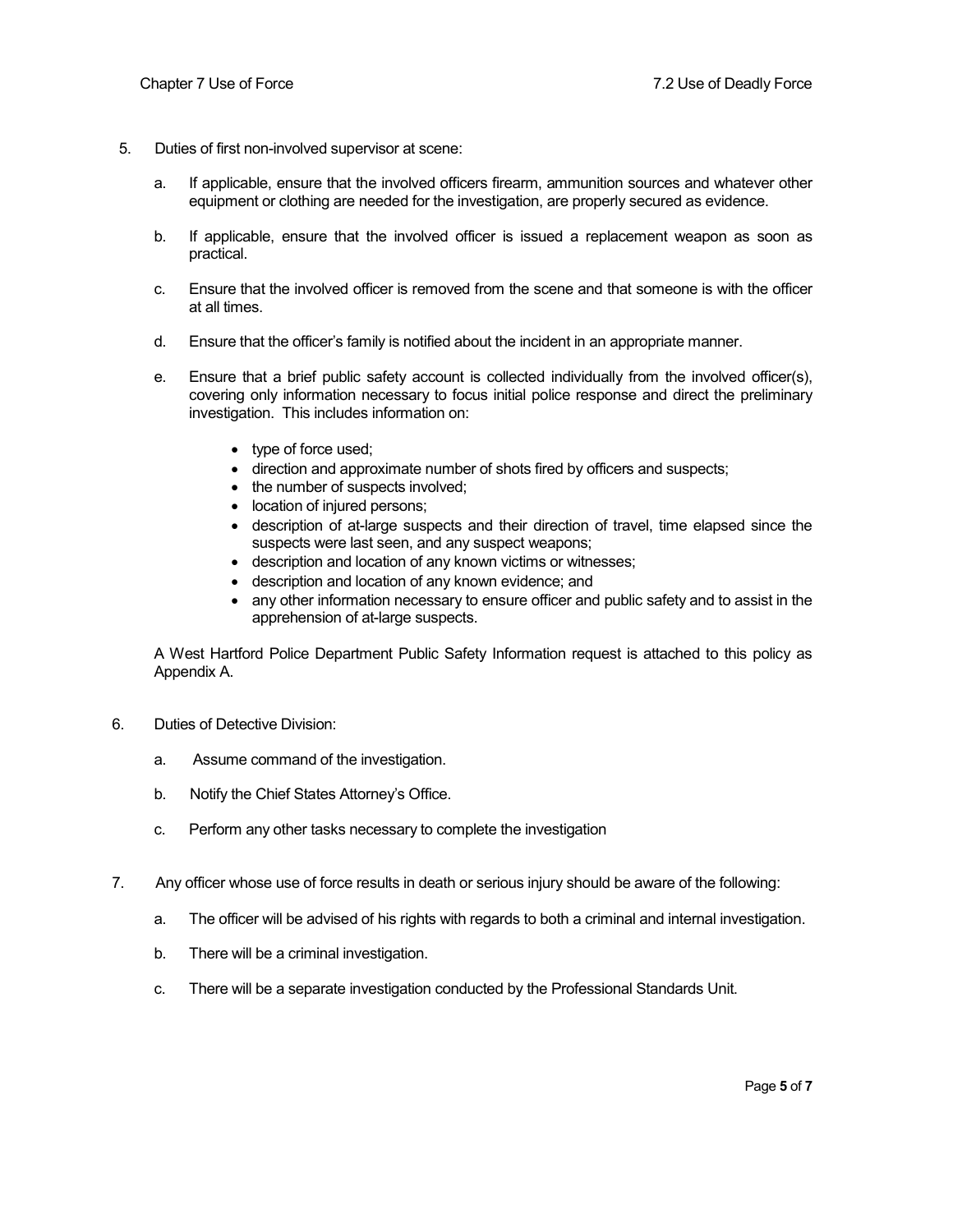- 5. Duties of first non-involved supervisor at scene:
	- a. If applicable, ensure that the involved officers firearm, ammunition sources and whatever other equipment or clothing are needed for the investigation, are properly secured as evidence.
	- b. If applicable, ensure that the involved officer is issued a replacement weapon as soon as practical.
	- c. Ensure that the involved officer is removed from the scene and that someone is with the officer at all times.
	- d. Ensure that the officer's family is notified about the incident in an appropriate manner.
	- e. Ensure that a brief public safety account is collected individually from the involved officer(s), covering only information necessary to focus initial police response and direct the preliminary investigation. This includes information on:
		- type of force used;
		- direction and approximate number of shots fired by officers and suspects;
		- the number of suspects involved;
		- location of injured persons;
		- description of at-large suspects and their direction of travel, time elapsed since the suspects were last seen, and any suspect weapons;
		- description and location of any known victims or witnesses;
		- description and location of any known evidence; and
		- any other information necessary to ensure officer and public safety and to assist in the apprehension of at-large suspects.

A West Hartford Police Department Public Safety Information request is attached to this policy as Appendix A.

- 6. Duties of Detective Division:
	- a. Assume command of the investigation.
	- b. Notify the Chief States Attorney's Office.
	- c. Perform any other tasks necessary to complete the investigation
- 7. Any officer whose use of force results in death or serious injury should be aware of the following:
	- a. The officer will be advised of his rights with regards to both a criminal and internal investigation.
	- b. There will be a criminal investigation.
	- c. There will be a separate investigation conducted by the Professional Standards Unit.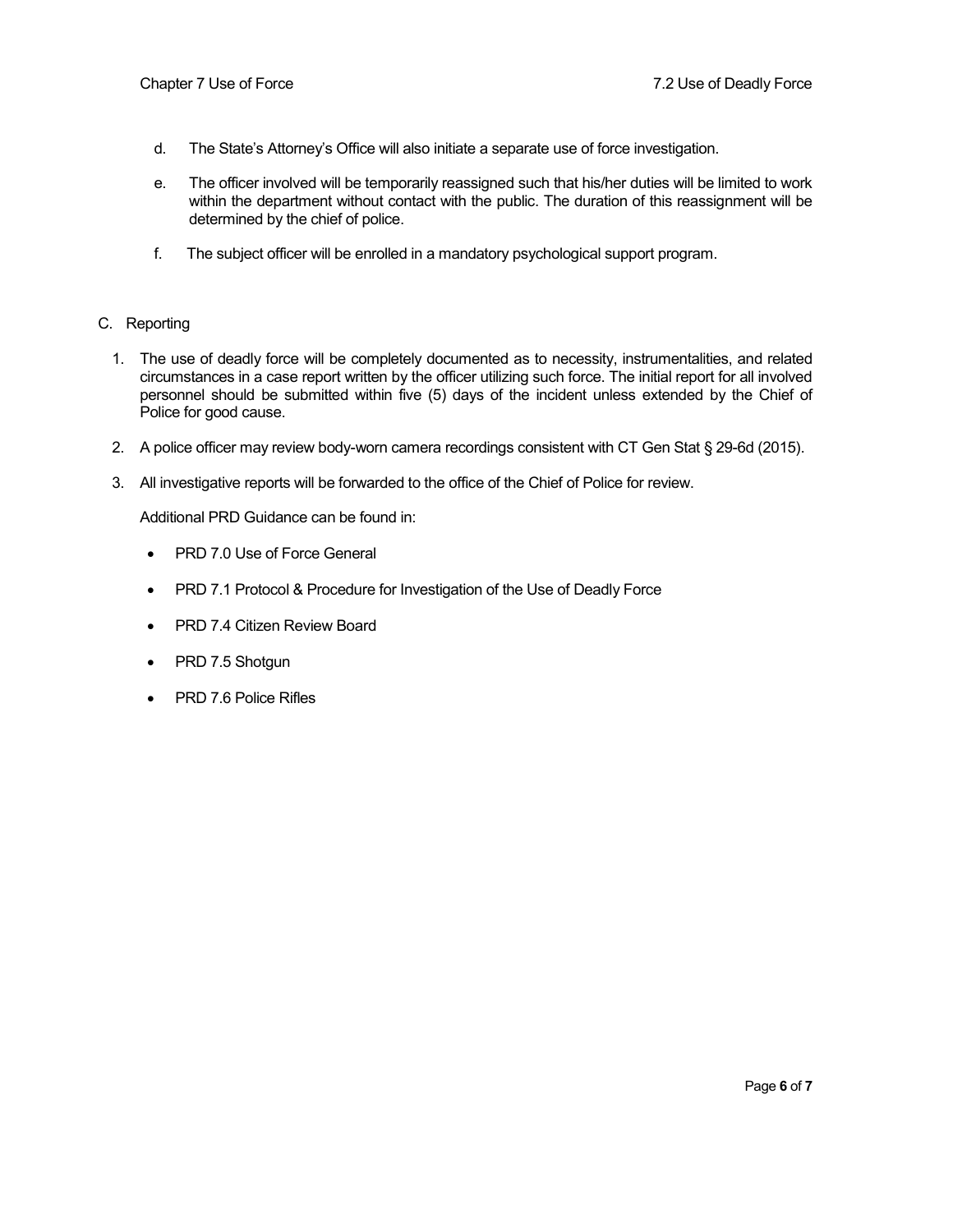- d. The State's Attorney's Office will also initiate a separate use of force investigation.
- e. The officer involved will be temporarily reassigned such that his/her duties will be limited to work within the department without contact with the public. The duration of this reassignment will be determined by the chief of police.
- f. The subject officer will be enrolled in a mandatory psychological support program.

#### C. Reporting

- 1. The use of deadly force will be completely documented as to necessity, instrumentalities, and related circumstances in a case report written by the officer utilizing such force. The initial report for all involved personnel should be submitted within five (5) days of the incident unless extended by the Chief of Police for good cause.
- 2. A police officer may review body-worn camera recordings consistent with CT Gen Stat § 29-6d (2015).
- 3. All investigative reports will be forwarded to the office of the Chief of Police for review.

Additional PRD Guidance can be found in:

- PRD 7.0 Use of Force General
- PRD 7.1 Protocol & Procedure for Investigation of the Use of Deadly Force
- PRD 7.4 Citizen Review Board
- PRD 7.5 Shotgun
- PRD 7.6 Police Rifles